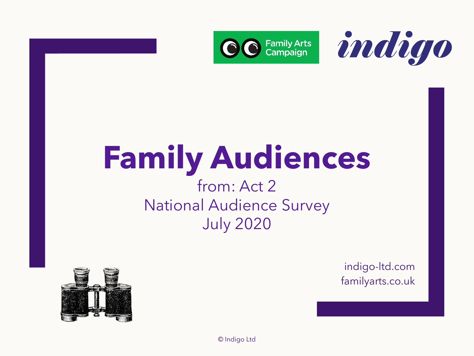



# **Family Audiences**

### from: Act 2 National Audience Survey July 2020



indigo-ltd.com familyarts.co.uk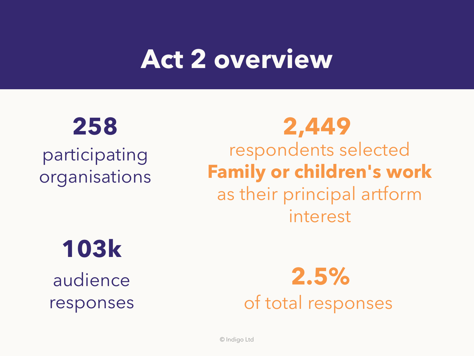## **Act 2 overview**

participating organisations

## **258 2,449** respondents selected **Family or children's work** as their principal artform interest

## **103k**

audience responses

**2.5%** of total responses

© Indigo Ltd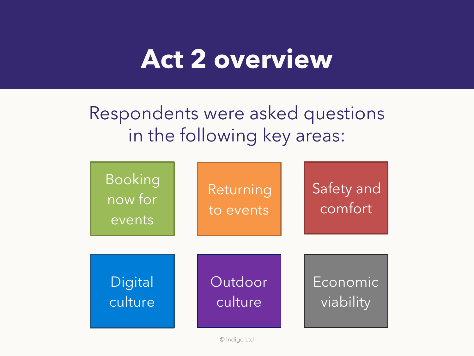## **Act 2 overview**

Respondents were asked questions in the following key areas:

| <b>Booking</b><br>now for<br>events | Returning<br>to events | Safety and<br>comfort |
|-------------------------------------|------------------------|-----------------------|
| Digital                             | Outdoor                | Economic              |
| culture                             | culture                | viability             |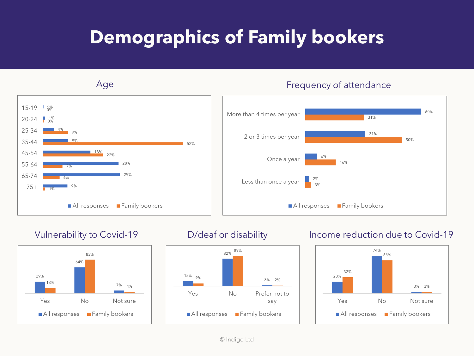## **Demographics of Family bookers**







### Vulnerability to Covid-19 **D**/deaf or disability Income reduction due to Covid-19

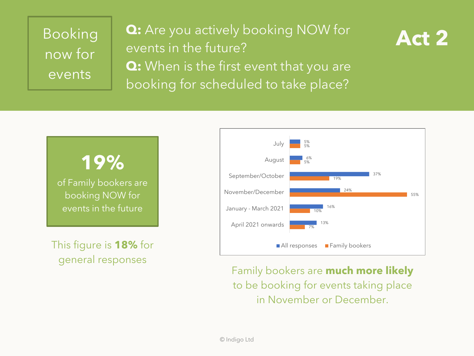## Booking now for events

**Q:** Are you actively booking NOW for **Act 2** events in the future? **Q:** When is the first event that you are booking for scheduled to take place?



## **19%**

of Family bookers are booking NOW for events in the future

This figure is **18%** for general responses



Family bookers are **much more likely** to be booking for events taking place in November or December.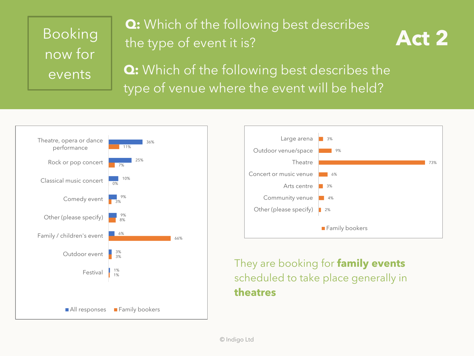## now for events

### Booking the type of event it is? **Q:** Which of the following best describes



**Q:** Which of the following best describes the type of venue where the event will be held?





### They are booking for **family events** scheduled to take place generally in **theatres**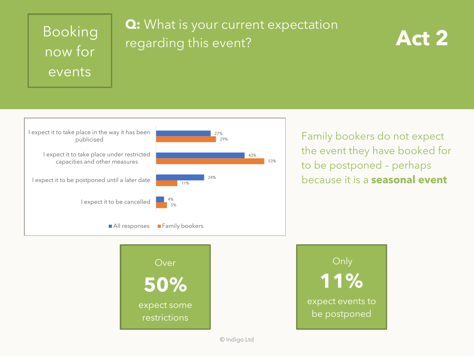## now for events

### Booking **2.** What is your current expectation **Act 2 Q:** What is your current expectation





Family bookers do not expect the event they have booked for to be postponed – perhaps because it is a **seasonal event**



© Indigo Ltd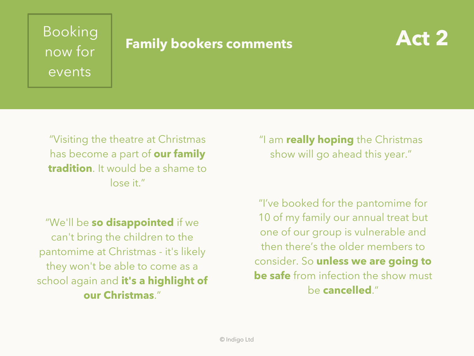## now for events

## Booking<br> **Family bookers comments**



"Visiting the theatre at Christmas has become a part of **our family tradition**. It would be a shame to lose it."

"We'll be **so disappointed** if we can't bring the children to the pantomime at Christmas - it's likely they won't be able to come as a school again and **it's a highlight of our Christmas**."

"I am **really hoping** the Christmas show will go ahead this year."

"I've booked for the pantomime for 10 of my family our annual treat but one of our group is vulnerable and then there's the older members to consider. So **unless we are going to be safe** from infection the show must be **cancelled**."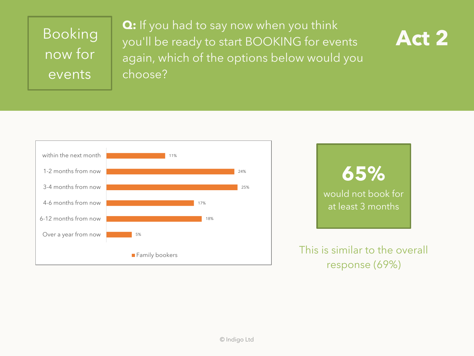## Booking now for events

**Q:** If you had to say now when you think you'll be ready to start BOOKING for events again, which of the options below would you choose?







response (69%)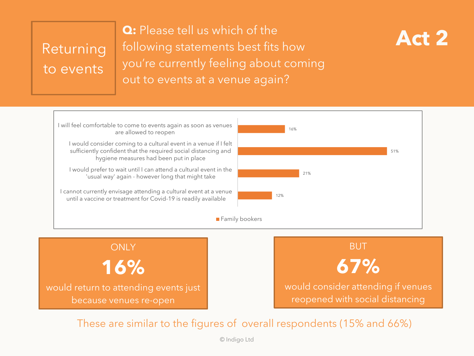# to events

**Q:** Please tell us which of the<br>Returning following statements best fits how **Act 2 Q:** Please tell us which of the you're currently feeling about coming out to events at a venue again?





would return to attending events just because venues re-open



These are similar to the figures of overall respondents (15% and 66%)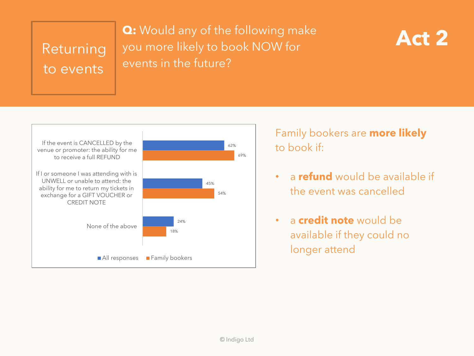# to events

### **Act 2**<br>Returning you more likely to book NOW for **Act 2 Q:** Would any of the following make events in the future?





Family bookers are **more likely** to book if:

- a **refund** would be available if the event was cancelled
- a **credit note** would be available if they could no longer attend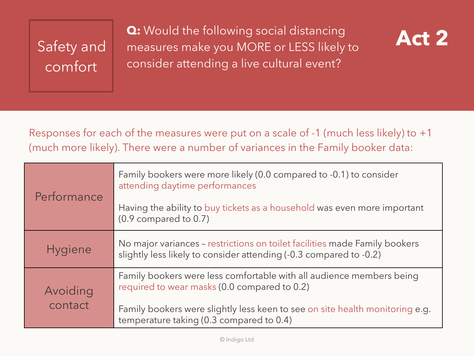## Safety and comfort

**Q:** Would the following social distancing **Act 2** measures make you MORE or LESS likely to consider attending a live cultural event?



Responses for each of the measures were put on a scale of -1 (much less likely) to +1 (much more likely). There were a number of variances in the Family booker data:

| Performance         | Family bookers were more likely (0.0 compared to -0.1) to consider<br>attending daytime performances<br>Having the ability to buy tickets as a household was even more important<br>$(0.9$ compared to $0.7)$                                    |
|---------------------|--------------------------------------------------------------------------------------------------------------------------------------------------------------------------------------------------------------------------------------------------|
| <b>Hygiene</b>      | No major variances - restrictions on toilet facilities made Family bookers<br>slightly less likely to consider attending (-0.3 compared to -0.2)                                                                                                 |
| Avoiding<br>contact | Family bookers were less comfortable with all audience members being<br>required to wear masks (0.0 compared to 0.2)<br>Family bookers were slightly less keen to see on site health monitoring e.g.<br>temperature taking (0.3 compared to 0.4) |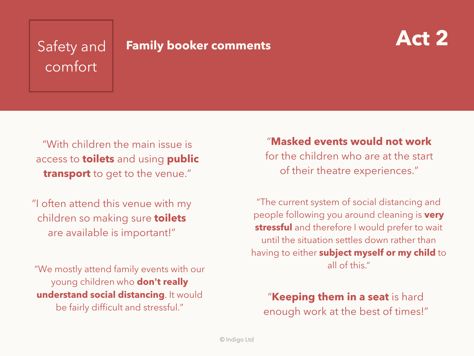# comfort

## **Safety and <b>Family booker comments Act 2**



"With children the main issue is access to **toilets** and using **public transport** to get to the venue."

"I often attend this venue with my children so making sure **toilets** are available is important!"

"We mostly attend family events with our young children who **don't really understand social distancing**. It would be fairly difficult and stressful."

"**Masked events would not work**  for the children who are at the start of their theatre experiences."

"The current system of social distancing and people following you around cleaning is **very stressful** and therefore I would prefer to wait until the situation settles down rather than having to either **subject myself or my child** to all of this."

"**Keeping them in a seat** is hard enough work at the best of times!"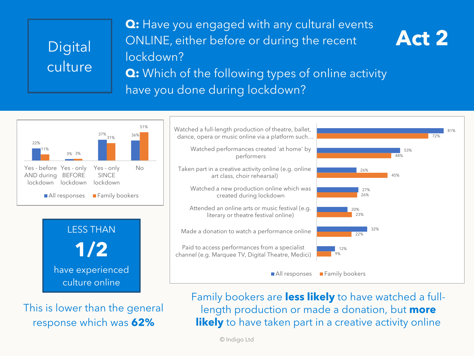**Q:** Have you engaged with any cultural events ONLINE, either before or during the recent lockdown? **Q:** Which of the following types of online activity have you done during lockdown?



This is lower than the general response which was **62%**

Family bookers are **less likely** to have watched a fulllength production or made a donation, but **more likely** to have taken part in a creative activity online

**Act 2**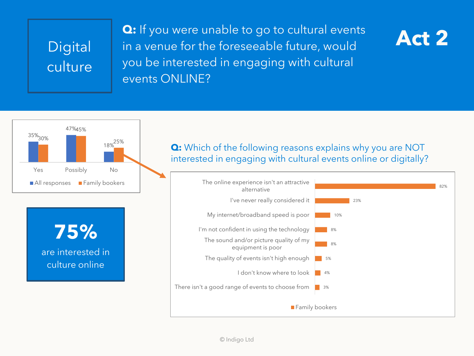**Q:** If you were unable to go to cultural events **Act 2** in a venue for the foreseeable future, would you be interested in engaging with cultural events ONLINE?







### **Q:** Which of the following reasons explains why you are NOT interested in engaging with cultural events online or digitally?

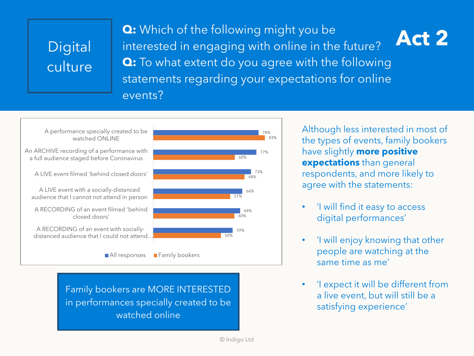**Act 2 Q:** Which of the following might you be interested in engaging with online in the future? **Q:** To what extent do you agree with the following statements regarding your expectations for online events?



Family bookers are MORE INTERESTED in performances specially created to be watched online

Although less interested in most of the types of events, family bookers have slightly **more positive expectations** than general respondents, and more likely to agree with the statements:

- 'I will find it easy to access digital performances'
- 'I will enjoy knowing that other people are watching at the same time as me'
- 'I expect it will be different from a live event, but will still be a satisfying experience'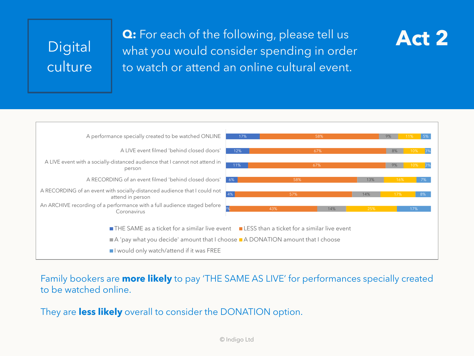**Q:** For each of the following, please tell us **Act 2** what you would consider spending in order to watch or attend an online cultural event.



Family bookers are **more likely** to pay 'THE SAME AS LIVE' for performances specially created to be watched online.

They are **less likely** overall to consider the DONATION option.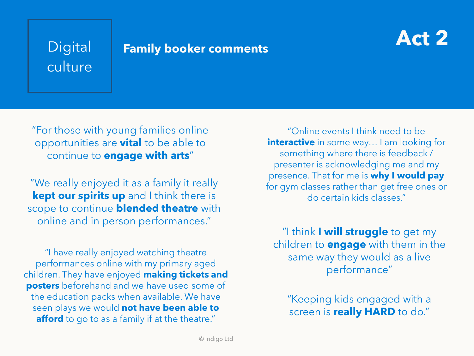# culture

## **Act 2** Digital **Family booker comments**



"For those with young families online opportunities are **vital** to be able to continue to **engage with arts**"

"We really enjoyed it as a family it really **kept our spirits up** and I think there is scope to continue **blended theatre** with online and in person performances."

"I have really enjoyed watching theatre performances online with my primary aged children. They have enjoyed **making tickets and posters** beforehand and we have used some of the education packs when available. We have seen plays we would **not have been able to afford** to go to as a family if at the theatre."

"Online events I think need to be **interactive** in some way... I am looking for something where there is feedback / presenter is acknowledging me and my presence. That for me is **why I would pay**  for gym classes rather than get free ones or do certain kids classes."

"I think **I will struggle** to get my children to **engage** with them in the same way they would as a live performance"

"Keeping kids engaged with a screen is **really HARD** to do."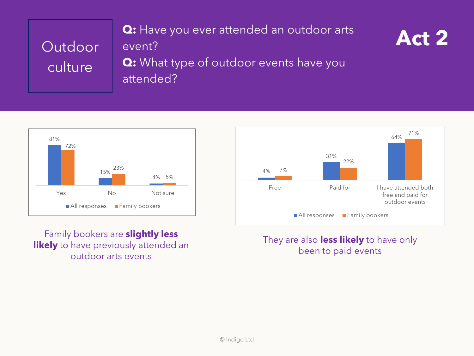**Q:** Have you ever attended an outdoor arts **Act 2** event? **Q:** What type of outdoor events have you attended?



Family bookers are **slightly less likely** to have previously attended an outdoor arts events



### They are also **less likely** to have only been to paid events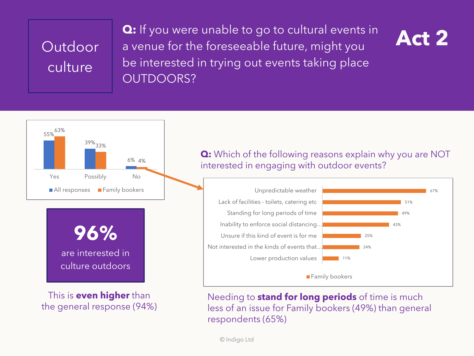**Q:** If you were unable to go to cultural events in **Act 2** a venue for the foreseeable future, might you be interested in trying out events taking place OUTDOORS?





**96%** are interested in

culture outdoors

This is **even higher** than the general response (94%)

### **Q:** Which of the following reasons explain why you are NOT interested in engaging with outdoor events?



Needing to **stand for long periods** of time is much less of an issue for Family bookers (49%) than general respondents (65%)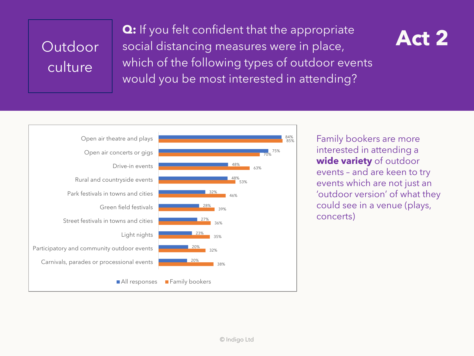**Q:** If you felt confident that the appropriate **Act 2** social distancing measures were in place, which of the following types of outdoor events would you be most interested in attending?



Family bookers are more interested in attending a **wide variety** of outdoor events – and are keen to try events which are not just an 'outdoor version' of what they could see in a venue (plays, concerts)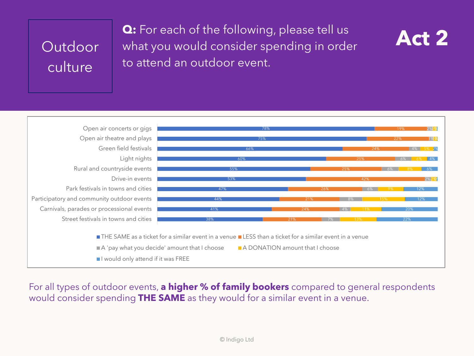**Q:** For each of the following, please tell us **Act 2** what you would consider spending in order to attend an outdoor event.





For all types of outdoor events, **a higher % of family bookers** compared to general respondents would consider spending **THE SAME** as they would for a similar event in a venue.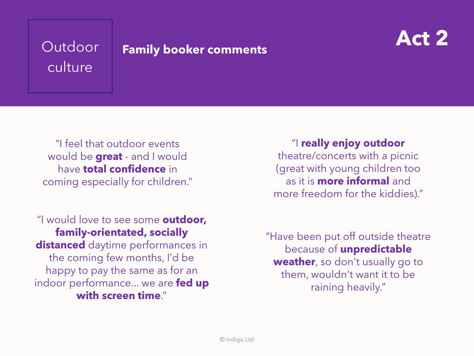# culture

## Outdoor **Act 2 Family booker comments**



"I feel that outdoor events would be **great** - and I would have **total confidence** in coming especially for children."

"I would love to see some **outdoor, family-orientated, socially distanced** daytime performances in the coming few months, I'd be happy to pay the same as for an indoor performance... we are **fed up with screen time**."

"I **really enjoy outdoor**  theatre/concerts with a picnic (great with young children too as it is **more informal** and more freedom for the kiddies)."

"Have been put off outside theatre because of **unpredictable weather**, so don't usually go to them, wouldn't want it to be raining heavily."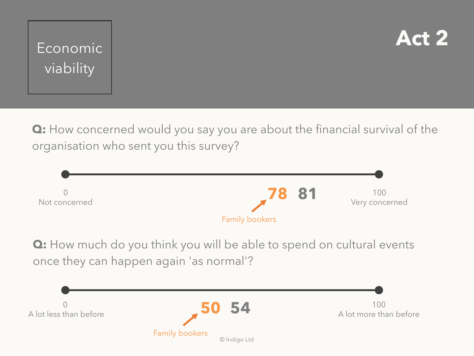



**Q:** How concerned would you say you are about the financial survival of the organisation who sent you this survey?



**Q:** How much do you think you will be able to spend on cultural events once they can happen again 'as normal'?

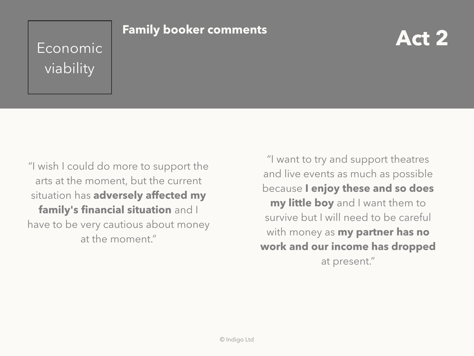## **Economic Pramily booker comments** viability

### **Family booker comments**

"I wish I could do more to support the arts at the moment, but the current situation has **adversely affected my family's financial situation** and I have to be very cautious about money at the moment."

"I want to try and support theatres and live events as much as possible because **I enjoy these and so does my little boy** and I want them to survive but I will need to be careful with money as **my partner has no work and our income has dropped**  at present."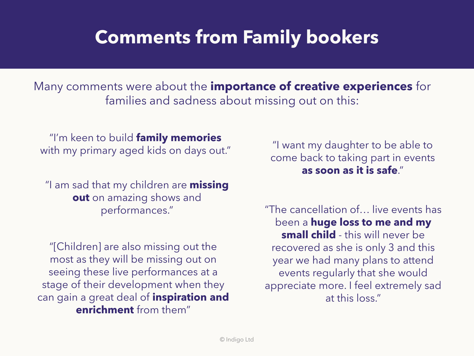## **Comments from Family bookers**

Many comments were about the **importance of creative experiences** for families and sadness about missing out on this:

"I'm keen to build **family memories** with my primary aged kids on days out."

"I am sad that my children are **missing out** on amazing shows and performances."

"[Children] are also missing out the most as they will be missing out on seeing these live performances at a stage of their development when they can gain a great deal of **inspiration and enrichment** from them"

"I want my daughter to be able to come back to taking part in events **as soon as it is safe**."

"The cancellation of… live events has been a **huge loss to me and my small child** - this will never be recovered as she is only 3 and this year we had many plans to attend events regularly that she would appreciate more. I feel extremely sad at this loss."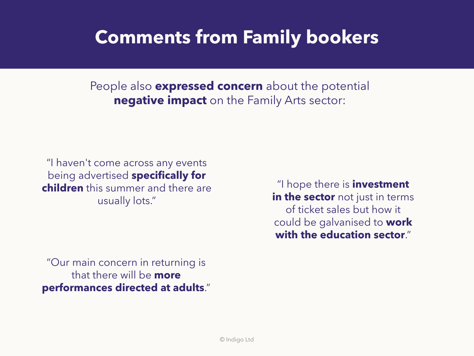## **Comments from Family bookers**

People also **expressed concern** about the potential **negative impact** on the Family Arts sector:

"I haven't come across any events being advertised **specifically for children** this summer and there are usually lots."

"I hope there is **investment in the sector** not just in terms of ticket sales but how it could be galvanised to **work with the education sector**."

"Our main concern in returning is that there will be **more performances directed at adults**."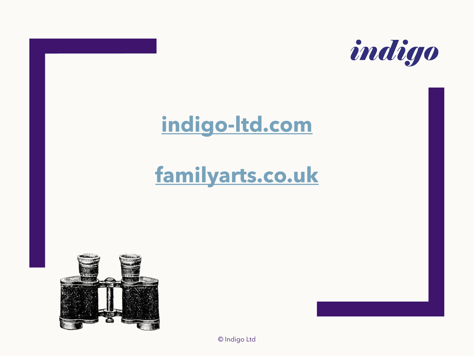

## **[indigo-ltd.com](http://www.indigo-ltd.com/)**

## **[familyarts.co.uk](http://www.familyarts.co.uk/)**



© Indigo Ltd